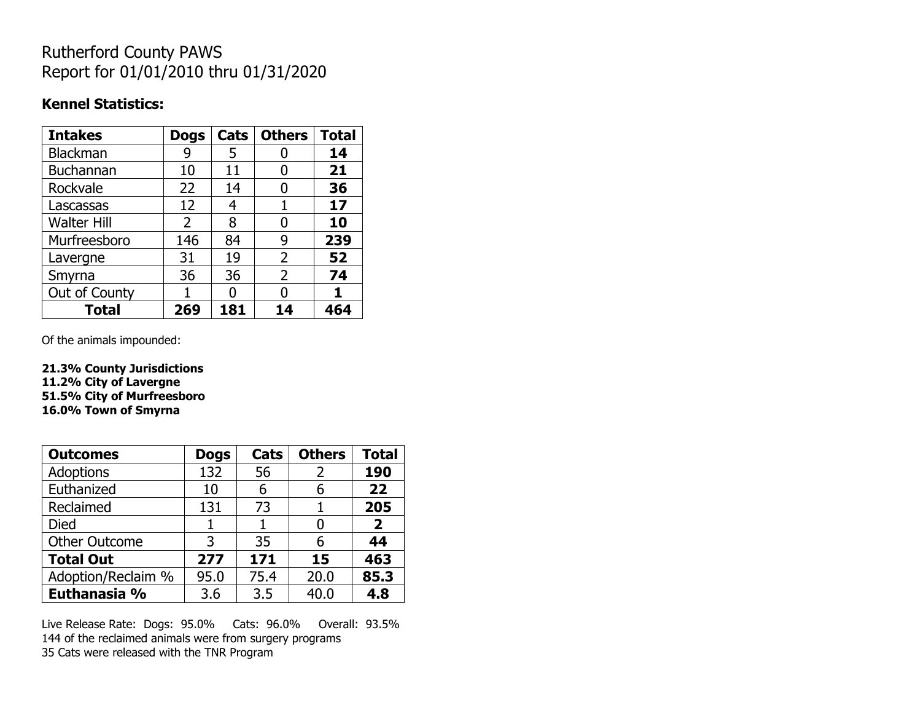## Rutherford County PAWS Report for 01/01/2010 thru 01/31/2020

#### **Kennel Statistics:**

| <b>Intakes</b>     | <b>Dogs</b>    | Cats | <b>Others</b>  | <b>Total</b> |
|--------------------|----------------|------|----------------|--------------|
| <b>Blackman</b>    | 9              | 5    |                | 14           |
| <b>Buchannan</b>   | 10             | 11   |                | 21           |
| Rockvale           | 22             | 14   | O              | 36           |
| Lascassas          | 12             | 4    | 1              | 17           |
| <b>Walter Hill</b> | $\overline{2}$ | 8    | O              | 10           |
| Murfreesboro       | 146            | 84   | 9              | 239          |
| Lavergne           | 31             | 19   | $\overline{2}$ | 52           |
| Smyrna             | 36             | 36   | $\overline{2}$ | 74           |
| Out of County      |                | O    |                |              |
| <b>Total</b>       | 269            | 181  | 14             | 464          |

Of the animals impounded:

**21.3% County Jurisdictions 11.2% City of Lavergne 51.5% City of Murfreesboro 16.0% Town of Smyrna**

| <b>Outcomes</b>      | <b>Dogs</b> | Cats | <b>Others</b> | <b>Total</b>   |
|----------------------|-------------|------|---------------|----------------|
| Adoptions            | 132         | 56   | 2             | 190            |
| Euthanized           | 10          | 6    | 6             | 22             |
| Reclaimed            | 131         | 73   |               | 205            |
| <b>Died</b>          | 1           |      | ŋ             | $\overline{2}$ |
| <b>Other Outcome</b> | 3           | 35   | 6             | 44             |
| <b>Total Out</b>     | 277         | 171  | 15            | 463            |
| Adoption/Reclaim %   | 95.0        | 75.4 | 20.0          | 85.3           |
| Euthanasia %         | 3.6         | 3.5  | 40.0          | 4.8            |

Live Release Rate: Dogs: 95.0% Cats: 96.0% Overall: 93.5% 144 of the reclaimed animals were from surgery programs 35 Cats were released with the TNR Program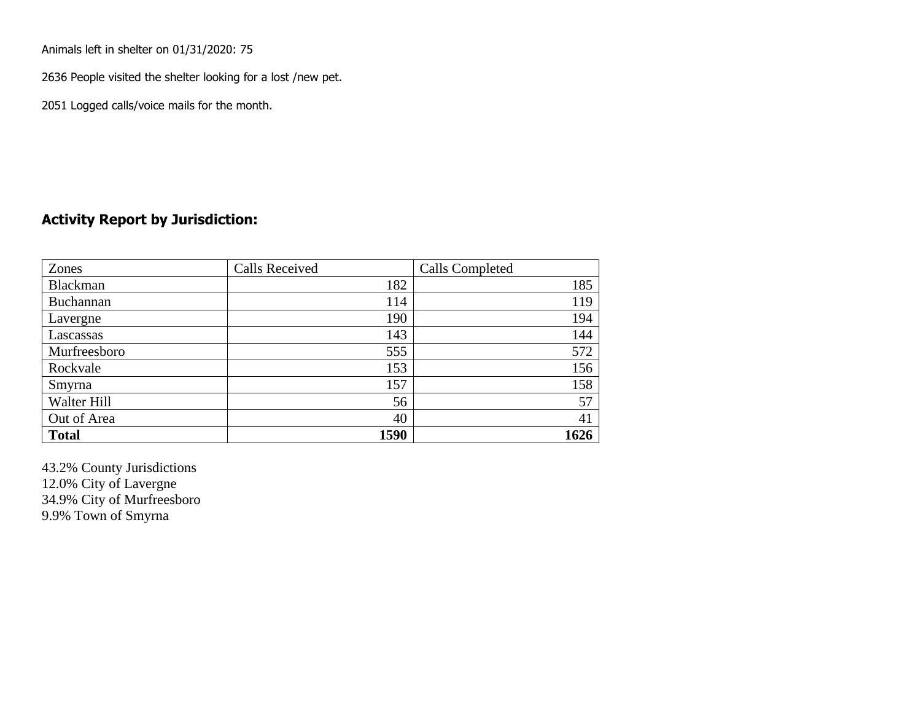Animals left in shelter on 01/31/2020: 75

2636 People visited the shelter looking for a lost /new pet.

2051 Logged calls/voice mails for the month.

#### **Activity Report by Jurisdiction:**

| Zones           | <b>Calls Received</b> | Calls Completed |
|-----------------|-----------------------|-----------------|
| <b>Blackman</b> | 182                   | 185             |
| Buchannan       | 114                   | 119             |
| Lavergne        | 190                   | 194             |
| Lascassas       | 143                   | 144             |
| Murfreesboro    | 555                   | 572             |
| Rockvale        | 153                   | 156             |
| Smyrna          | 157                   | 158             |
| Walter Hill     | 56                    | 57              |
| Out of Area     | 40                    | 41              |
| <b>Total</b>    | 1590                  | 1626            |

43.2% County Jurisdictions 12.0% City of Lavergne 34.9% City of Murfreesboro 9.9% Town of Smyrna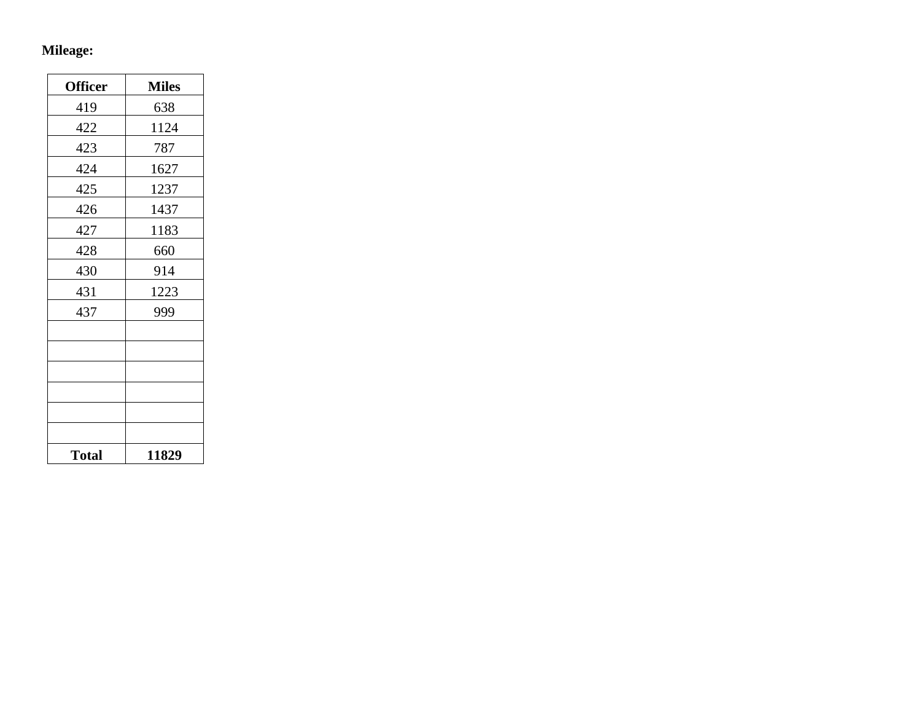# **Mileage:**

| <b>Officer</b> | <b>Miles</b> |
|----------------|--------------|
| 419            | 638          |
| 422            | 1124         |
| 423            | 787          |
| 424            | 1627         |
| 425            | 1237         |
| 426            | 1437         |
| 427            | 1183         |
| 428            | 660          |
| 430            | 914          |
| 431            | 1223         |
| 437            | 999          |
|                |              |
|                |              |
|                |              |
|                |              |
|                |              |
|                |              |
| <b>Total</b>   | 11829        |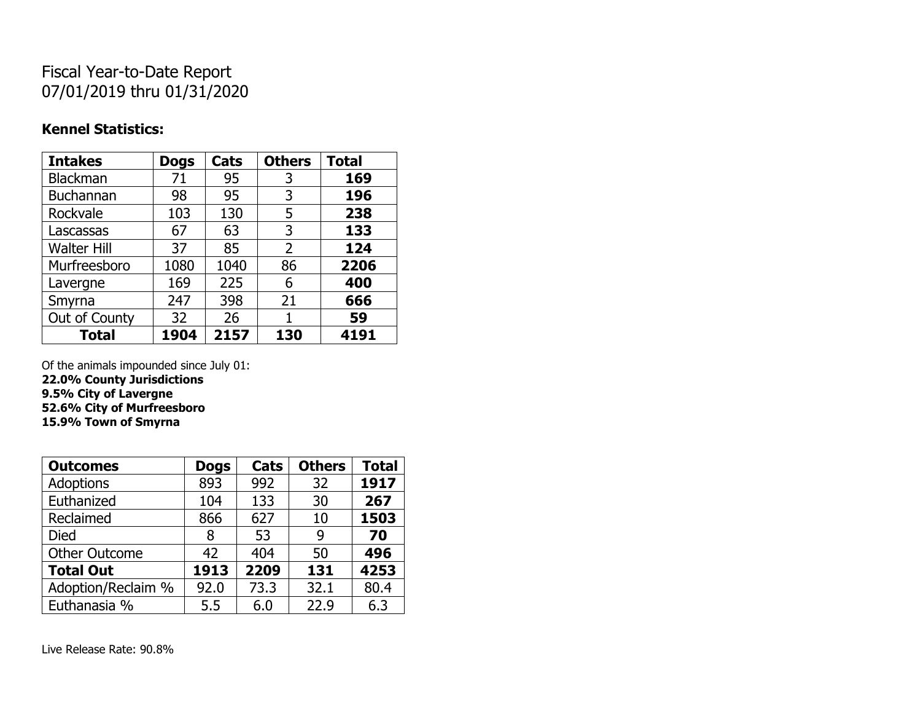## Fiscal Year-to-Date Report 07/01/2019 thru 01/31/2020

### **Kennel Statistics:**

| <b>Intakes</b>     | <b>Dogs</b> | Cats | <b>Others</b> | <b>Total</b> |
|--------------------|-------------|------|---------------|--------------|
| Blackman           | 71          | 95   | 3             | 169          |
| Buchannan          | 98          | 95   | 3             | 196          |
| Rockvale           | 103         | 130  | 5             | 238          |
| Lascassas          | 67          | 63   | 3             | 133          |
| <b>Walter Hill</b> | 37          | 85   | 2             | 124          |
| Murfreesboro       | 1080        | 1040 | 86            | 2206         |
| Lavergne           | 169         | 225  | 6             | 400          |
| Smyrna             | 247         | 398  | 21            | 666          |
| Out of County      | 32          | 26   |               | 59           |
| <b>Total</b>       | 1904        | 2157 | 130           | 4191         |

Of the animals impounded since July 01:

**22.0% County Jurisdictions 9.5% City of Lavergne 52.6% City of Murfreesboro**

**15.9% Town of Smyrna**

| <b>Outcomes</b>      | <b>Dogs</b> | Cats | <b>Others</b> | <b>Total</b> |
|----------------------|-------------|------|---------------|--------------|
| <b>Adoptions</b>     | 893         | 992  | 32            | 1917         |
| Euthanized           | 104         | 133  | 30            | 267          |
| Reclaimed            | 866         | 627  | 10            | 1503         |
| Died                 | 8           | 53   | 9             | 70           |
| <b>Other Outcome</b> | 42          | 404  | 50            | 496          |
| <b>Total Out</b>     | 1913        | 2209 | 131           | 4253         |
| Adoption/Reclaim %   | 92.0        | 73.3 | 32.1          | 80.4         |
| Euthanasia %         | 5.5         | 6.0  | 22.9          | 6.3          |

Live Release Rate: 90.8%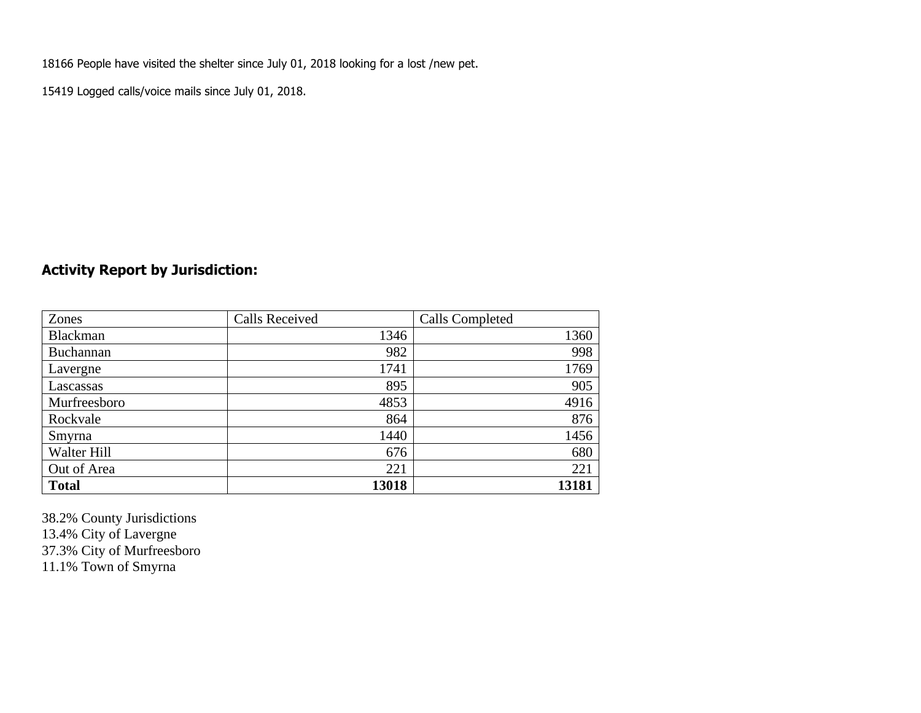18166 People have visited the shelter since July 01, 2018 looking for a lost /new pet.

15419 Logged calls/voice mails since July 01, 2018.

### **Activity Report by Jurisdiction:**

| Zones           | <b>Calls Received</b> | Calls Completed |
|-----------------|-----------------------|-----------------|
| <b>Blackman</b> | 1346                  | 1360            |
| Buchannan       | 982                   | 998             |
| Lavergne        | 1741                  | 1769            |
| Lascassas       | 895                   | 905             |
| Murfreesboro    | 4853                  | 4916            |
| Rockvale        | 864                   | 876             |
| Smyrna          | 1440                  | 1456            |
| Walter Hill     | 676                   | 680             |
| Out of Area     | 221                   | 221             |
| <b>Total</b>    | 13018                 | 13181           |

38.2% County Jurisdictions 13.4% City of Lavergne 37.3% City of Murfreesboro 11.1% Town of Smyrna